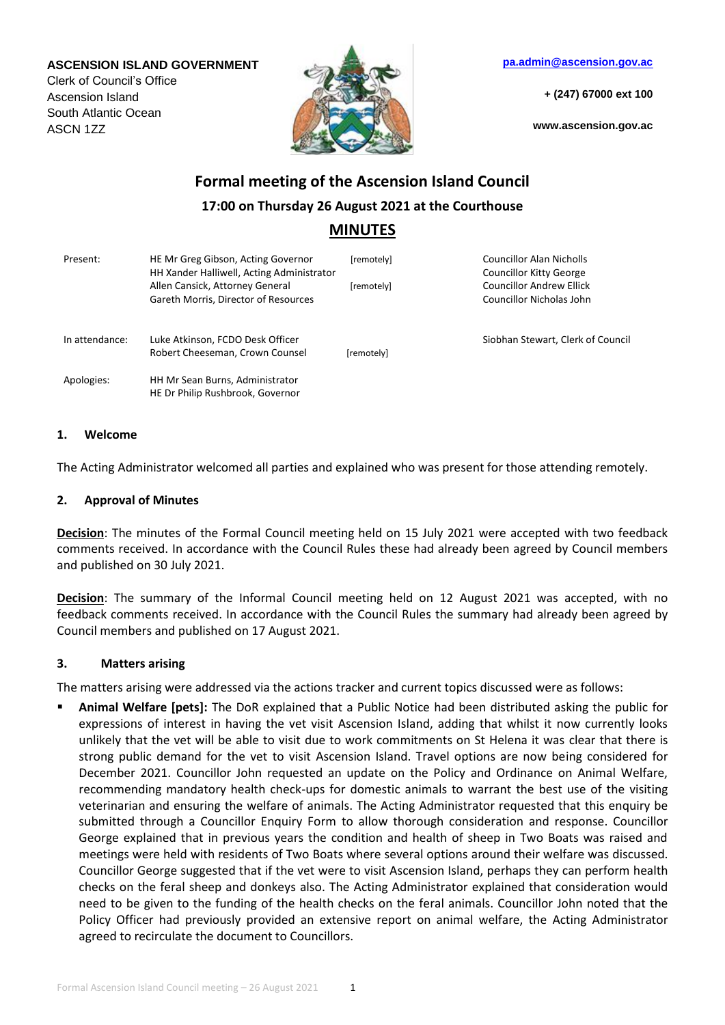#### **ASCENSION ISLAND GOVERNMENT**

Clerk of Council's Office Ascension Island South Atlantic Ocean ASCN 1ZZ



**[pa.admin@ascension.gov.ac](mailto:pa.admin@ascension.gov.ac)**

**+ (247) 67000 ext 100**

**www.ascension.gov.ac**

# **Formal meeting of the Ascension Island Council 17:00 on Thursday 26 August 2021 at the Courthouse MINUTES**

| Present:       | HE Mr Greg Gibson, Acting Governor<br>HH Xander Halliwell, Acting Administrator<br>Allen Cansick, Attorney General<br>Gareth Morris, Director of Resources | [remotely]<br>[remotely] | <b>Councillor Alan Nicholls</b><br>Councillor Kitty George<br><b>Councillor Andrew Ellick</b><br><b>Councillor Nicholas John</b> |
|----------------|------------------------------------------------------------------------------------------------------------------------------------------------------------|--------------------------|----------------------------------------------------------------------------------------------------------------------------------|
| In attendance: | Luke Atkinson, FCDO Desk Officer<br>Robert Cheeseman, Crown Counsel                                                                                        | [remotelv]               | Siobhan Stewart, Clerk of Council                                                                                                |
| Apologies:     | HH Mr Sean Burns, Administrator<br>HE Dr Philip Rushbrook, Governor                                                                                        |                          |                                                                                                                                  |

#### **1. Welcome**

The Acting Administrator welcomed all parties and explained who was present for those attending remotely.

## **2. Approval of Minutes**

**Decision**: The minutes of the Formal Council meeting held on 15 July 2021 were accepted with two feedback comments received. In accordance with the Council Rules these had already been agreed by Council members and published on 30 July 2021.

**Decision**: The summary of the Informal Council meeting held on 12 August 2021 was accepted, with no feedback comments received. In accordance with the Council Rules the summary had already been agreed by Council members and published on 17 August 2021.

## **3. Matters arising**

The matters arising were addressed via the actions tracker and current topics discussed were as follows:

 **Animal Welfare [pets]:** The DoR explained that a Public Notice had been distributed asking the public for expressions of interest in having the vet visit Ascension Island, adding that whilst it now currently looks unlikely that the vet will be able to visit due to work commitments on St Helena it was clear that there is strong public demand for the vet to visit Ascension Island. Travel options are now being considered for December 2021. Councillor John requested an update on the Policy and Ordinance on Animal Welfare, recommending mandatory health check-ups for domestic animals to warrant the best use of the visiting veterinarian and ensuring the welfare of animals. The Acting Administrator requested that this enquiry be submitted through a Councillor Enquiry Form to allow thorough consideration and response. Councillor George explained that in previous years the condition and health of sheep in Two Boats was raised and meetings were held with residents of Two Boats where several options around their welfare was discussed. Councillor George suggested that if the vet were to visit Ascension Island, perhaps they can perform health checks on the feral sheep and donkeys also. The Acting Administrator explained that consideration would need to be given to the funding of the health checks on the feral animals. Councillor John noted that the Policy Officer had previously provided an extensive report on animal welfare, the Acting Administrator agreed to recirculate the document to Councillors.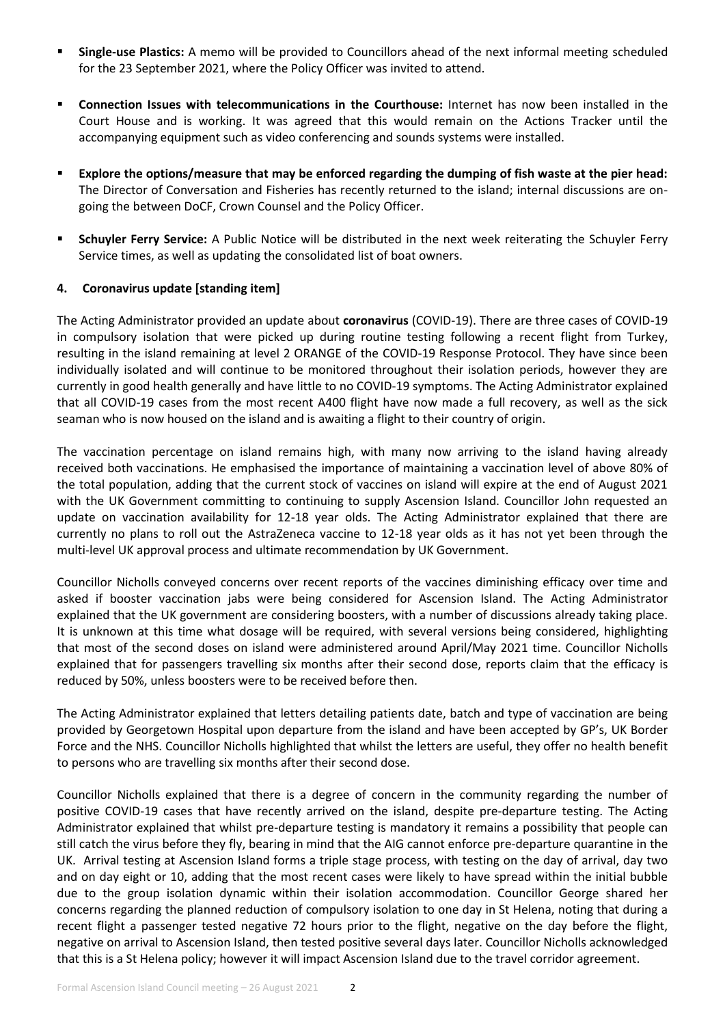- **Single-use Plastics:** A memo will be provided to Councillors ahead of the next informal meeting scheduled for the 23 September 2021, where the Policy Officer was invited to attend.
- **Connection Issues with telecommunications in the Courthouse:** Internet has now been installed in the Court House and is working. It was agreed that this would remain on the Actions Tracker until the accompanying equipment such as video conferencing and sounds systems were installed.
- **Explore the options/measure that may be enforced regarding the dumping of fish waste at the pier head:**  The Director of Conversation and Fisheries has recently returned to the island; internal discussions are ongoing the between DoCF, Crown Counsel and the Policy Officer.
- **Schuyler Ferry Service:** A Public Notice will be distributed in the next week reiterating the Schuyler Ferry Service times, as well as updating the consolidated list of boat owners.

## **4. Coronavirus update [standing item]**

The Acting Administrator provided an update about **coronavirus** (COVID-19). There are three cases of COVID-19 in compulsory isolation that were picked up during routine testing following a recent flight from Turkey, resulting in the island remaining at level 2 ORANGE of the COVID-19 Response Protocol. They have since been individually isolated and will continue to be monitored throughout their isolation periods, however they are currently in good health generally and have little to no COVID-19 symptoms. The Acting Administrator explained that all COVID-19 cases from the most recent A400 flight have now made a full recovery, as well as the sick seaman who is now housed on the island and is awaiting a flight to their country of origin.

The vaccination percentage on island remains high, with many now arriving to the island having already received both vaccinations. He emphasised the importance of maintaining a vaccination level of above 80% of the total population, adding that the current stock of vaccines on island will expire at the end of August 2021 with the UK Government committing to continuing to supply Ascension Island. Councillor John requested an update on vaccination availability for 12-18 year olds. The Acting Administrator explained that there are currently no plans to roll out the AstraZeneca vaccine to 12-18 year olds as it has not yet been through the multi-level UK approval process and ultimate recommendation by UK Government.

Councillor Nicholls conveyed concerns over recent reports of the vaccines diminishing efficacy over time and asked if booster vaccination jabs were being considered for Ascension Island. The Acting Administrator explained that the UK government are considering boosters, with a number of discussions already taking place. It is unknown at this time what dosage will be required, with several versions being considered, highlighting that most of the second doses on island were administered around April/May 2021 time. Councillor Nicholls explained that for passengers travelling six months after their second dose, reports claim that the efficacy is reduced by 50%, unless boosters were to be received before then.

The Acting Administrator explained that letters detailing patients date, batch and type of vaccination are being provided by Georgetown Hospital upon departure from the island and have been accepted by GP's, UK Border Force and the NHS. Councillor Nicholls highlighted that whilst the letters are useful, they offer no health benefit to persons who are travelling six months after their second dose.

Councillor Nicholls explained that there is a degree of concern in the community regarding the number of positive COVID-19 cases that have recently arrived on the island, despite pre-departure testing. The Acting Administrator explained that whilst pre-departure testing is mandatory it remains a possibility that people can still catch the virus before they fly, bearing in mind that the AIG cannot enforce pre-departure quarantine in the UK. Arrival testing at Ascension Island forms a triple stage process, with testing on the day of arrival, day two and on day eight or 10, adding that the most recent cases were likely to have spread within the initial bubble due to the group isolation dynamic within their isolation accommodation. Councillor George shared her concerns regarding the planned reduction of compulsory isolation to one day in St Helena, noting that during a recent flight a passenger tested negative 72 hours prior to the flight, negative on the day before the flight, negative on arrival to Ascension Island, then tested positive several days later. Councillor Nicholls acknowledged that this is a St Helena policy; however it will impact Ascension Island due to the travel corridor agreement.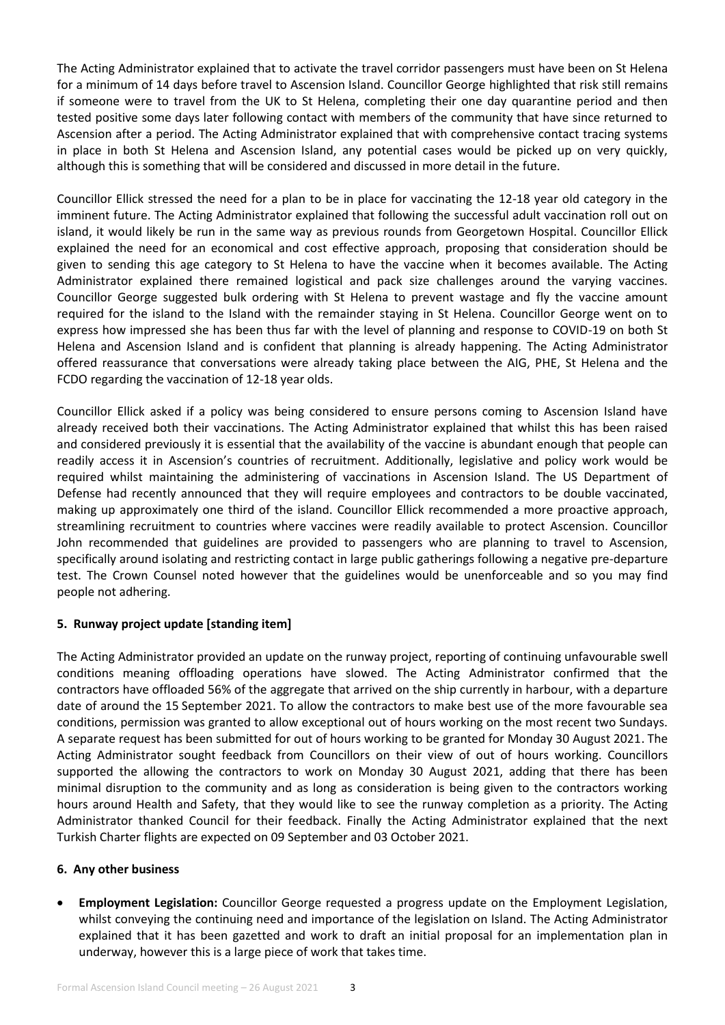The Acting Administrator explained that to activate the travel corridor passengers must have been on St Helena for a minimum of 14 days before travel to Ascension Island. Councillor George highlighted that risk still remains if someone were to travel from the UK to St Helena, completing their one day quarantine period and then tested positive some days later following contact with members of the community that have since returned to Ascension after a period. The Acting Administrator explained that with comprehensive contact tracing systems in place in both St Helena and Ascension Island, any potential cases would be picked up on very quickly, although this is something that will be considered and discussed in more detail in the future.

Councillor Ellick stressed the need for a plan to be in place for vaccinating the 12-18 year old category in the imminent future. The Acting Administrator explained that following the successful adult vaccination roll out on island, it would likely be run in the same way as previous rounds from Georgetown Hospital. Councillor Ellick explained the need for an economical and cost effective approach, proposing that consideration should be given to sending this age category to St Helena to have the vaccine when it becomes available. The Acting Administrator explained there remained logistical and pack size challenges around the varying vaccines. Councillor George suggested bulk ordering with St Helena to prevent wastage and fly the vaccine amount required for the island to the Island with the remainder staying in St Helena. Councillor George went on to express how impressed she has been thus far with the level of planning and response to COVID-19 on both St Helena and Ascension Island and is confident that planning is already happening. The Acting Administrator offered reassurance that conversations were already taking place between the AIG, PHE, St Helena and the FCDO regarding the vaccination of 12-18 year olds.

Councillor Ellick asked if a policy was being considered to ensure persons coming to Ascension Island have already received both their vaccinations. The Acting Administrator explained that whilst this has been raised and considered previously it is essential that the availability of the vaccine is abundant enough that people can readily access it in Ascension's countries of recruitment. Additionally, legislative and policy work would be required whilst maintaining the administering of vaccinations in Ascension Island. The US Department of Defense had recently announced that they will require employees and contractors to be double vaccinated, making up approximately one third of the island. Councillor Ellick recommended a more proactive approach, streamlining recruitment to countries where vaccines were readily available to protect Ascension. Councillor John recommended that guidelines are provided to passengers who are planning to travel to Ascension, specifically around isolating and restricting contact in large public gatherings following a negative pre-departure test. The Crown Counsel noted however that the guidelines would be unenforceable and so you may find people not adhering.

# **5. Runway project update [standing item]**

The Acting Administrator provided an update on the runway project, reporting of continuing unfavourable swell conditions meaning offloading operations have slowed. The Acting Administrator confirmed that the contractors have offloaded 56% of the aggregate that arrived on the ship currently in harbour, with a departure date of around the 15 September 2021. To allow the contractors to make best use of the more favourable sea conditions, permission was granted to allow exceptional out of hours working on the most recent two Sundays. A separate request has been submitted for out of hours working to be granted for Monday 30 August 2021. The Acting Administrator sought feedback from Councillors on their view of out of hours working. Councillors supported the allowing the contractors to work on Monday 30 August 2021, adding that there has been minimal disruption to the community and as long as consideration is being given to the contractors working hours around Health and Safety, that they would like to see the runway completion as a priority. The Acting Administrator thanked Council for their feedback. Finally the Acting Administrator explained that the next Turkish Charter flights are expected on 09 September and 03 October 2021.

# **6. Any other business**

 **Employment Legislation:** Councillor George requested a progress update on the Employment Legislation, whilst conveying the continuing need and importance of the legislation on Island. The Acting Administrator explained that it has been gazetted and work to draft an initial proposal for an implementation plan in underway, however this is a large piece of work that takes time.